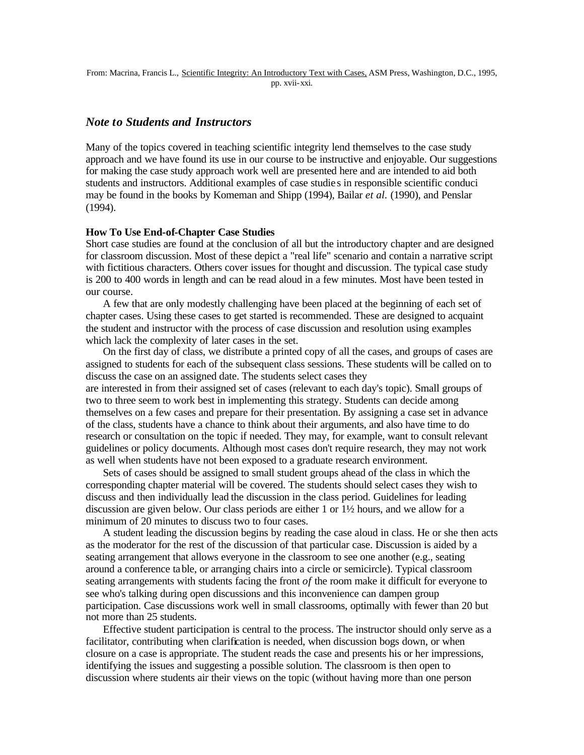## *Note to Students and Instructors*

Many of the topics covered in teaching scientific integrity lend themselves to the case study approach and we have found its use in our course to be instructive and enjoyable. Our suggestions for making the case study approach work well are presented here and are intended to aid both students and instructors. Additional examples of case studie s in responsible scientific conduci may be found in the books by Komeman and Shipp (1994), Bailar *et al.* (1990), and Penslar (1994).

## **How To Use End-of-Chapter Case Studies**

Short case studies are found at the conclusion of all but the introductory chapter and are designed for classroom discussion. Most of these depict a "real life" scenario and contain a narrative script with fictitious characters. Others cover issues for thought and discussion. The typical case study is 200 to 400 words in length and can be read aloud in a few minutes. Most have been tested in our course.

A few that are only modestly challenging have been placed at the beginning of each set of chapter cases. Using these cases to get started is recommended. These are designed to acquaint the student and instructor with the process of case discussion and resolution using examples which lack the complexity of later cases in the set.

On the first day of class, we distribute a printed copy of all the cases, and groups of cases are assigned to students for each of the subsequent class sessions. These students will be called on to discuss the case on an assigned date. The students select cases they

are interested in from their assigned set of cases (relevant to each day's topic). Small groups of two to three seem to work best in implementing this strategy. Students can decide among themselves on a few cases and prepare for their presentation. By assigning a case set in advance of the class, students have a chance to think about their arguments, and also have time to do research or consultation on the topic if needed. They may, for example, want to consult relevant guidelines or policy documents. Although most cases don't require research, they may not work as well when students have not been exposed to a graduate research environment.

Sets of cases should be assigned to small student groups ahead of the class in which the corresponding chapter material will be covered. The students should select cases they wish to discuss and then individually lead the discussion in the class period. Guidelines for leading discussion are given below. Our class periods are either 1 or 1½ hours, and we allow for a minimum of 20 minutes to discuss two to four cases.

A student leading the discussion begins by reading the case aloud in class. He or she then acts as the moderator for the rest of the discussion of that particular case. Discussion is aided by a seating arrangement that allows everyone in the classroom to see one another (e.g., seating around a conference table, or arranging chairs into a circle or semicircle). Typical classroom seating arrangements with students facing the front *of* the room make it difficult for everyone to see who's talking during open discussions and this inconvenience can dampen group participation. Case discussions work well in small classrooms, optimally with fewer than 20 but not more than 25 students.

Effective student participation is central to the process. The instructor should only serve as a facilitator, contributing when clarification is needed, when discussion bogs down, or when closure on a case is appropriate. The student reads the case and presents his or her impressions, identifying the issues and suggesting a possible solution. The classroom is then open to discussion where students air their views on the topic (without having more than one person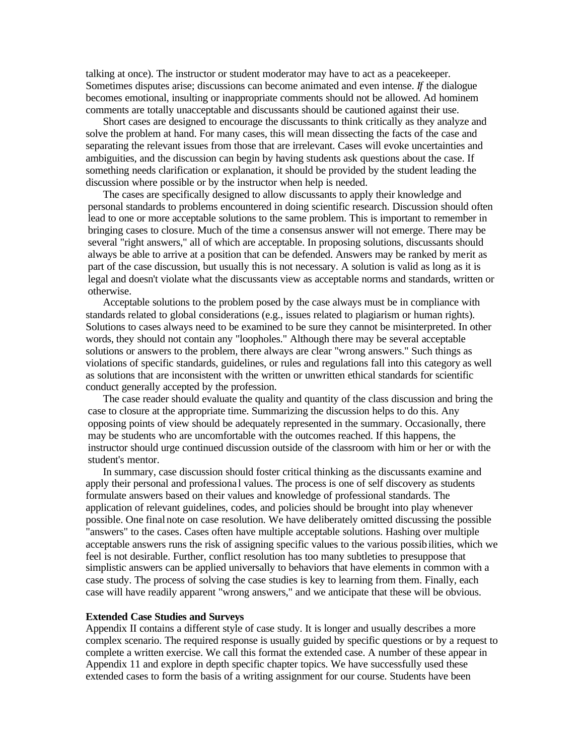talking at once). The instructor or student moderator may have to act as a peacekeeper. Sometimes disputes arise; discussions can become animated and even intense. *If* the dialogue becomes emotional, insulting or inappropriate comments should not be allowed. Ad hominem comments are totally unacceptable and discussants should be cautioned against their use.

Short cases are designed to encourage the discussants to think critically as they analyze and solve the problem at hand. For many cases, this will mean dissecting the facts of the case and separating the relevant issues from those that are irrelevant. Cases will evoke uncertainties and ambiguities, and the discussion can begin by having students ask questions about the case. If something needs clarification or explanation, it should be provided by the student leading the discussion where possible or by the instructor when help is needed.

The cases are specifically designed to allow discussants to apply their knowledge and personal standards to problems encountered in doing scientific research. Discussion should often lead to one or more acceptable solutions to the same problem. This is important to remember in bringing cases to closure. Much of the time a consensus answer will not emerge. There may be several "right answers," all of which are acceptable. In proposing solutions, discussants should always be able to arrive at a position that can be defended. Answers may be ranked by merit as part of the case discussion, but usually this is not necessary. A solution is valid as long as it is legal and doesn't violate what the discussants view as acceptable norms and standards, written or otherwise.

Acceptable solutions to the problem posed by the case always must be in compliance with standards related to global considerations (e.g., issues related to plagiarism or human rights). Solutions to cases always need to be examined to be sure they cannot be misinterpreted. In other words, they should not contain any "loopholes." Although there may be several acceptable solutions or answers to the problem, there always are clear "wrong answers." Such things as violations of specific standards, guidelines, or rules and regulations fall into this category as well as solutions that are inconsistent with the written or unwritten ethical standards for scientific conduct generally accepted by the profession.

The case reader should evaluate the quality and quantity of the class discussion and bring the case to closure at the appropriate time. Summarizing the discussion helps to do this. Any opposing points of view should be adequately represented in the summary. Occasionally, there may be students who are uncomfortable with the outcomes reached. If this happens, the instructor should urge continued discussion outside of the classroom with him or her or with the student's mentor.

In summary, case discussion should foster critical thinking as the discussants examine and apply their personal and professiona l values. The process is one of self discovery as students formulate answers based on their values and knowledge of professional standards. The application of relevant guidelines, codes, and policies should be brought into play whenever possible. One final note on case resolution. We have deliberately omitted discussing the possible "answers" to the cases. Cases often have multiple acceptable solutions. Hashing over multiple acceptable answers runs the risk of assigning specific values to the various possibilities, which we feel is not desirable. Further, conflict resolution has too many subtleties to presuppose that simplistic answers can be applied universally to behaviors that have elements in common with a case study. The process of solving the case studies is key to learning from them. Finally, each case will have readily apparent "wrong answers," and we anticipate that these will be obvious.

## **Extended Case Studies and Surveys**

Appendix II contains a different style of case study. It is longer and usually describes a more complex scenario. The required response is usually guided by specific questions or by a request to complete a written exercise. We call this format the extended case. A number of these appear in Appendix 11 and explore in depth specific chapter topics. We have successfully used these extended cases to form the basis of a writing assignment for our course. Students have been